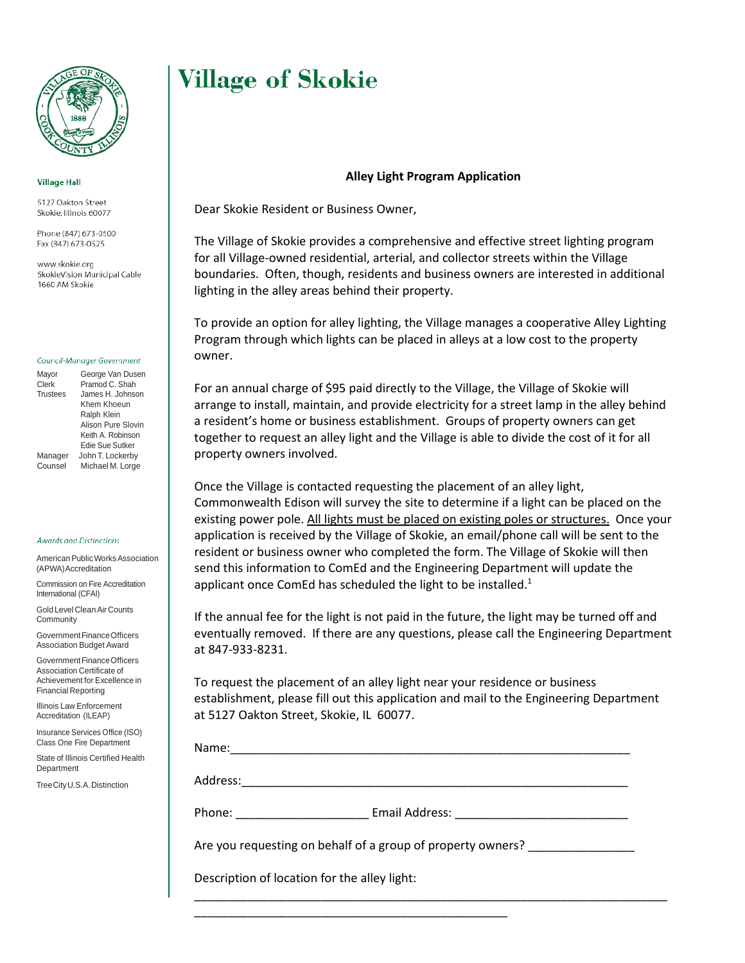

### **Village Hall**

5127 Oakton Street Skokie, Illinois 60077

Phone (847) 673-0500 Fax (847) 673-0525

www.skokie.org SkokieVision Municipal Cable 1660 AM Skokie

#### Council-Manager Government

Mayor George Van Dusen Clerk Pramod C. Shah Trustees James H. Johnson Khem Khoeun Ralph Klein Alison Pure Slovin Keith A. Robinson Edie Sue Sutker Manager John T. Lockerby

Counsel Michael M. Lorge

**Awards and Distinctions** 

American Public Works Association (APWA)Accreditation

Commission on Fire Accreditation International (CFAI)

Gold Level CleanAir Counts Community

GovernmentFinanceOfficers Association Budget Award

Government Finance Officers Association Certificate of Achievement for Excellence in Financial Reporting

Illinois Law Enforcement Accreditation (ILEAP)

Insurance Services Office (ISO) Class One Fire Department

State of Illinois Certified Health **Department** 

TreeCityU.S.A.Distinction

# **Village of Skokie**

## **Alley Light Program Application**

Dear Skokie Resident or Business Owner,

The Village of Skokie provides a comprehensive and effective street lighting program for all Village-owned residential, arterial, and collector streets within the Village boundaries. Often, though, residents and business owners are interested in additional lighting in the alley areas behind their property.

To provide an option for alley lighting, the Village manages a cooperative Alley Lighting Program through which lights can be placed in alleys at a low cost to the property owner.

For an annual charge of \$95 paid directly to the Village, the Village of Skokie will arrange to install, maintain, and provide electricity for a street lamp in the alley behind a resident's home or business establishment. Groups of property owners can get together to request an alley light and the Village is able to divide the cost of it for all property owners involved.

Once the Village is contacted requesting the placement of an alley light, Commonwealth Edison will survey the site to determine if a light can be placed on the existing power pole. All lights must be placed on existing poles or structures. Once your application is received by the Village of Skokie, an email/phone call will be sent to the resident or business owner who completed the form. The Village of Skokie will then send this information to ComEd and the Engineering Department will update the applicant once ComEd has scheduled the light to be installed.<sup>1</sup>

If the annual fee for the light is not paid in the future, the light may be turned off and eventually removed. If there are any questions, please call the Engineering Department at 847-933-8231.

To request the placement of an alley light near your residence or business establishment, please fill out this application and mail to the Engineering Department at 5127 Oakton Street, Skokie, IL 60077.

\_\_\_\_\_\_\_\_\_\_\_\_\_\_\_\_\_\_\_\_\_\_\_\_\_\_\_\_\_\_\_\_\_\_\_\_\_\_\_\_\_\_\_\_\_\_\_\_\_\_\_\_\_\_\_\_\_\_\_\_\_\_\_\_\_\_\_\_\_\_\_

| Name:                                                       |                |
|-------------------------------------------------------------|----------------|
| Address:                                                    |                |
| Phone:                                                      | Email Address: |
| Aro vou requesting on bohalf of a group of property owners? |                |

Are you requesting on behalf of a group of property owners?

\_\_\_\_\_\_\_\_\_\_\_\_\_\_\_\_\_\_\_\_\_\_\_\_\_\_\_\_\_\_\_\_\_\_\_\_\_\_\_\_\_\_\_\_\_\_\_

Description of location for the alley light: